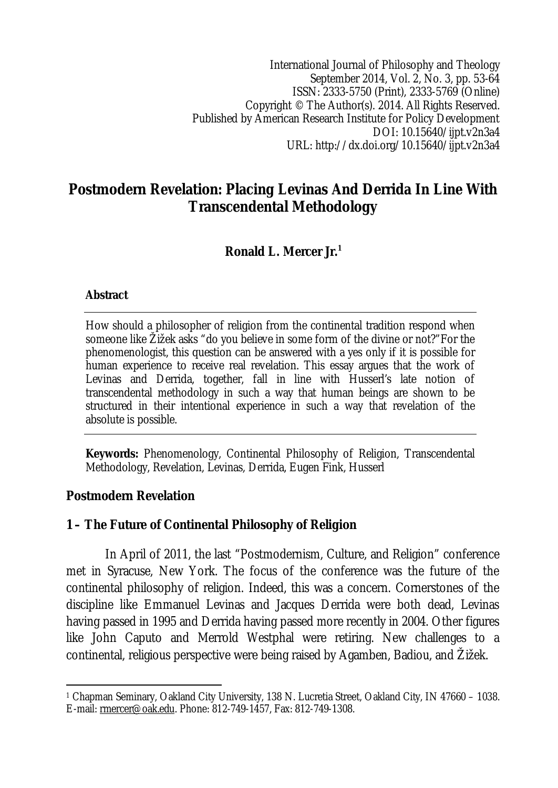International Journal of Philosophy and Theology September 2014, Vol. 2, No. 3, pp. 53-64 ISSN: 2333-5750 (Print), 2333-5769 (Online) Copyright © The Author(s). 2014. All Rights Reserved. Published by American Research Institute for Policy Development DOI: 10.15640/ijpt.v2n3a4 URL: http://dx.doi.org/10.15640/ijpt.v2n3a4

# **Postmodern Revelation: Placing Levinas And Derrida In Line With Transcendental Methodology**

**Ronald L. Mercer Jr.<sup>1</sup>**

#### **Abstract**

How should a philosopher of religion from the continental tradition respond when someone like Žižek asks "do you believe in some form of the divine or not?"For the phenomenologist, this question can be answered with a yes only if it is possible for human experience to receive real revelation. This essay argues that the work of Levinas and Derrida, together, fall in line with Husserl's late notion of transcendental methodology in such a way that human beings are shown to be structured in their intentional experience in such a way that revelation of the absolute is possible.

**Keywords:** Phenomenology, Continental Philosophy of Religion, Transcendental Methodology, Revelation, Levinas, Derrida, Eugen Fink, Husserl

### **Postmodern Revelation**

### **1 – The Future of Continental Philosophy of Religion**

In April of 2011, the last "Postmodernism, Culture, and Religion" conference met in Syracuse, New York. The focus of the conference was the future of the continental philosophy of religion. Indeed, this was a concern. Cornerstones of the discipline like Emmanuel Levinas and Jacques Derrida were both dead, Levinas having passed in 1995 and Derrida having passed more recently in 2004. Other figures like John Caputo and Merrold Westphal were retiring. New challenges to a continental, religious perspective were being raised by Agamben, Badiou, and Žižek.

 $\overline{a}$ <sup>1</sup> Chapman Seminary, Oakland City University, 138 N. Lucretia Street, Oakland City, IN 47660 – 1038. E-mail: rmercer@oak.edu. Phone: 812-749-1457, Fax: 812-749-1308.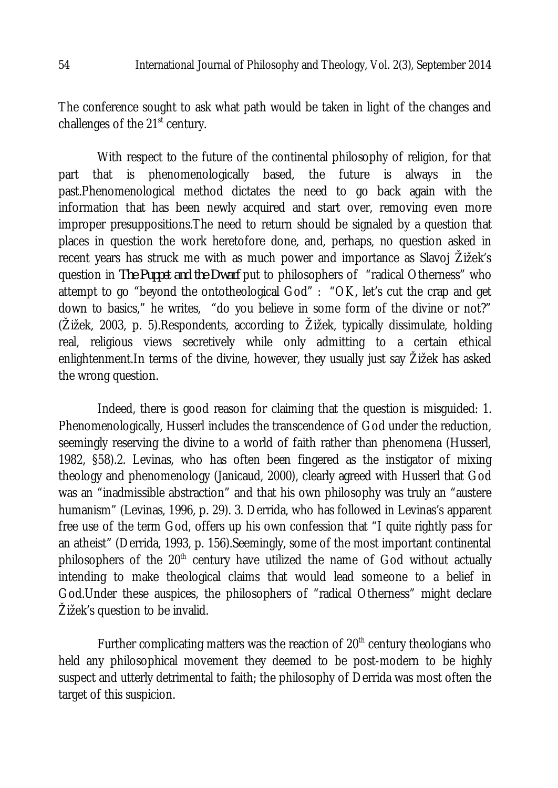The conference sought to ask what path would be taken in light of the changes and challenges of the 21<sup>st</sup> century.

With respect to the future of the continental philosophy of religion, for that part that is phenomenologically based, the future is always in the past.Phenomenological method dictates the need to go back again with the information that has been newly acquired and start over, removing even more improper presuppositions.The need to return should be signaled by a question that places in question the work heretofore done, and, perhaps, no question asked in recent years has struck me with as much power and importance as Slavoj Žižek's question in *The Puppet and the Dwarf* put to philosophers of "radical Otherness" who attempt to go "beyond the ontotheological God" : "OK, let's cut the crap and get down to basics," he writes, "do you believe in some form of the divine or not?" (Žižek, 2003, p. 5).Respondents, according to Žižek, typically dissimulate, holding real, religious views secretively while only admitting to a certain ethical enlightenment.In terms of the divine, however, they usually just say Žižek has asked the wrong question.

Indeed, there is good reason for claiming that the question is misguided: 1. Phenomenologically, Husserl includes the transcendence of God under the reduction, seemingly reserving the divine to a world of faith rather than phenomena (Husserl, 1982, §58).2. Levinas, who has often been fingered as the instigator of mixing theology and phenomenology (Janicaud, 2000), clearly agreed with Husserl that God was an "inadmissible abstraction" and that his own philosophy was truly an "austere humanism" (Levinas, 1996, p. 29). 3. Derrida, who has followed in Levinas's apparent free use of the term God, offers up his own confession that "I quite rightly pass for an atheist" (Derrida, 1993, p. 156).Seemingly, some of the most important continental philosophers of the 20<sup>th</sup> century have utilized the name of God without actually intending to make theological claims that would lead someone to a belief in God.Under these auspices, the philosophers of "radical Otherness" might declare Žižek's question to be invalid.

Further complicating matters was the reaction of  $20<sup>th</sup>$  century theologians who held any philosophical movement they deemed to be post-modern to be highly suspect and utterly detrimental to faith; the philosophy of Derrida was most often the target of this suspicion.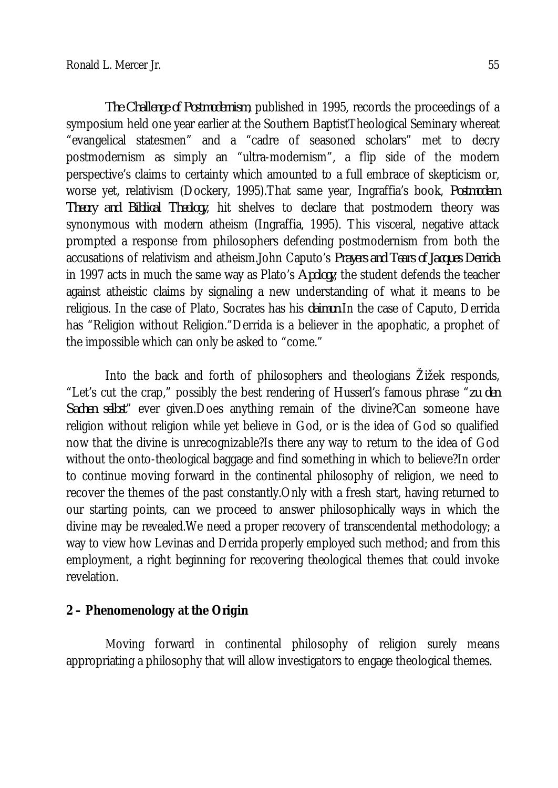*The Challenge of Postmodernism*, published in 1995, records the proceedings of a symposium held one year earlier at the Southern BaptistTheological Seminary whereat "evangelical statesmen" and a "cadre of seasoned scholars" met to decry postmodernism as simply an "ultra-modernism", a flip side of the modern perspective's claims to certainty which amounted to a full embrace of skepticism or, worse yet, relativism (Dockery, 1995).That same year, Ingraffia's book, *Postmodern Theory and Biblical Theology*, hit shelves to declare that postmodern theory was synonymous with modern atheism (Ingraffia, 1995). This visceral, negative attack prompted a response from philosophers defending postmodernism from both the accusations of relativism and atheism.John Caputo's *Prayers and Tears of Jacques Derrida* in 1997 acts in much the same way as Plato's *Apology*; the student defends the teacher against atheistic claims by signaling a new understanding of what it means to be religious. In the case of Plato, Socrates has his *daimon*.In the case of Caputo, Derrida has "Religion without Religion."Derrida is a believer in the apophatic, a prophet of the impossible which can only be asked to "come."

Into the back and forth of philosophers and theologians Žižek responds, "Let's cut the crap," possibly the best rendering of Husserl's famous phrase "*zu den Sachen selbst*" ever given.Does anything remain of the divine?Can someone have religion without religion while yet believe in God, or is the idea of God so qualified now that the divine is unrecognizable?Is there any way to return to the idea of God without the onto-theological baggage and find something in which to believe?In order to continue moving forward in the continental philosophy of religion, we need to recover the themes of the past constantly.Only with a fresh start, having returned to our starting points, can we proceed to answer philosophically ways in which the divine may be revealed.We need a proper recovery of transcendental methodology; a way to view how Levinas and Derrida properly employed such method; and from this employment, a right beginning for recovering theological themes that could invoke revelation.

## **2 – Phenomenology at the Origin**

Moving forward in continental philosophy of religion surely means appropriating a philosophy that will allow investigators to engage theological themes.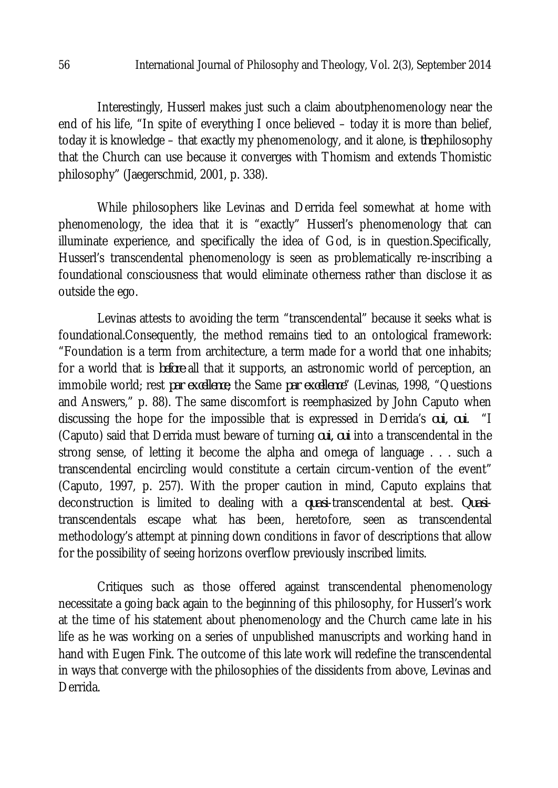Interestingly, Husserl makes just such a claim aboutphenomenology near the end of his life, "In spite of everything I once believed – today it is more than belief, today it is knowledge – that exactly my phenomenology, and it alone, is *the* philosophy that the Church can use because it converges with Thomism and extends Thomistic philosophy" (Jaegerschmid, 2001, p. 338).

While philosophers like Levinas and Derrida feel somewhat at home with phenomenology, the idea that it is "exactly" Husserl's phenomenology that can illuminate experience, and specifically the idea of God, is in question.Specifically, Husserl's transcendental phenomenology is seen as problematically re-inscribing a foundational consciousness that would eliminate otherness rather than disclose it as outside the ego.

Levinas attests to avoiding the term "transcendental" because it seeks what is foundational.Consequently, the method remains tied to an ontological framework: "Foundation is a term from architecture, a term made for a world that one inhabits; for a world that is *before* all that it supports, an astronomic world of perception, an immobile world; rest *par excellence*; the Same *par excellence*" (Levinas, 1998, "Questions and Answers," p. 88). The same discomfort is reemphasized by John Caputo when discussing the hope for the impossible that is expressed in Derrida's *oui, oui*. "I (Caputo) said that Derrida must beware of turning *oui, oui* into a transcendental in the strong sense, of letting it become the alpha and omega of language . . . such a transcendental encircling would constitute a certain circum-vention of the event" (Caputo, 1997, p. 257). With the proper caution in mind, Caputo explains that deconstruction is limited to dealing with a *quasi*-transcendental at best. *Quasi*transcendentals escape what has been, heretofore, seen as transcendental methodology's attempt at pinning down conditions in favor of descriptions that allow for the possibility of seeing horizons overflow previously inscribed limits.

Critiques such as those offered against transcendental phenomenology necessitate a going back again to the beginning of this philosophy, for Husserl's work at the time of his statement about phenomenology and the Church came late in his life as he was working on a series of unpublished manuscripts and working hand in hand with Eugen Fink. The outcome of this late work will redefine the transcendental in ways that converge with the philosophies of the dissidents from above, Levinas and Derrida.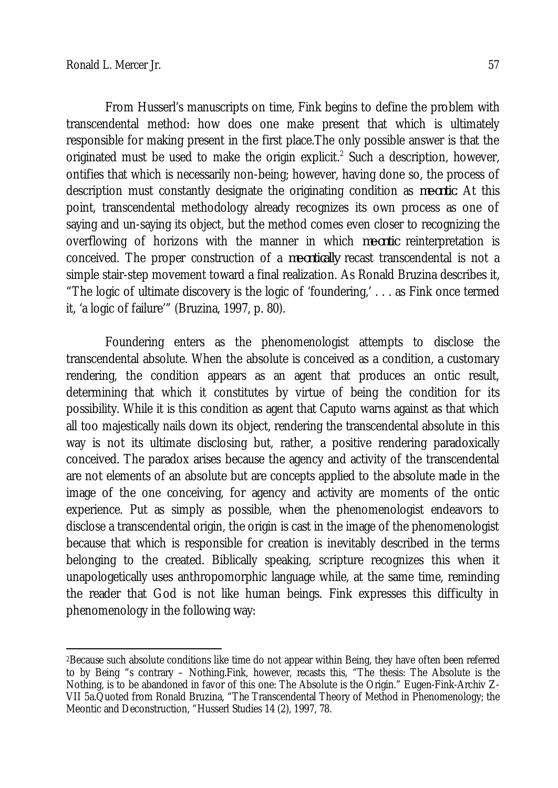From Husserl's manuscripts on time, Fink begins to define the problem with transcendental method: how does one make present that which is ultimately responsible for making present in the first place.The only possible answer is that the originated must be used to make the origin explicit.<sup>2</sup> Such a description, however, ontifies that which is necessarily non-being; however, having done so, the process of description must constantly designate the originating condition as *me-ontic*. At this point, transcendental methodology already recognizes its own process as one of saying and un-saying its object, but the method comes even closer to recognizing the overflowing of horizons with the manner in which *me-ontic* reinterpretation is conceived. The proper construction of a *me-ontically* recast transcendental is not a simple stair-step movement toward a final realization. As Ronald Bruzina describes it, "The logic of ultimate discovery is the logic of 'foundering,' . . . as Fink once termed it, 'a logic of failure'" (Bruzina, 1997, p. 80).

Foundering enters as the phenomenologist attempts to disclose the transcendental absolute. When the absolute is conceived as a condition, a customary rendering, the condition appears as an agent that produces an ontic result, determining that which it constitutes by virtue of being the condition for its possibility. While it is this condition as agent that Caputo warns against as that which all too majestically nails down its object, rendering the transcendental absolute in this way is not its ultimate disclosing but, rather, a positive rendering paradoxically conceived. The paradox arises because the agency and activity of the transcendental are not elements of an absolute but are concepts applied to the absolute made in the image of the one conceiving, for agency and activity are moments of the ontic experience. Put as simply as possible, when the phenomenologist endeavors to disclose a transcendental origin, the origin is cast in the image of the phenomenologist because that which is responsible for creation is inevitably described in the terms belonging to the created. Biblically speaking, scripture recognizes this when it unapologetically uses anthropomorphic language while, at the same time, reminding the reader that God is not like human beings. Fink expresses this difficulty in phenomenology in the following way:

 $\overline{\phantom{a}}$ <sup>2</sup>Because such absolute conditions like time do not appear within Being, they have often been referred to by Being "s contrary – Nothing.Fink, however, recasts this, "The thesis: The Absolute is the Nothing, is to be abandoned in favor of this one: The Absolute is the Origin." Eugen-Fink-Archiv Z-VII 5a.Quoted from Ronald Bruzina, "The Transcendental Theory of Method in Phenomenology; the Meontic and Deconstruction, "Husserl Studies 14 (2), 1997, 78.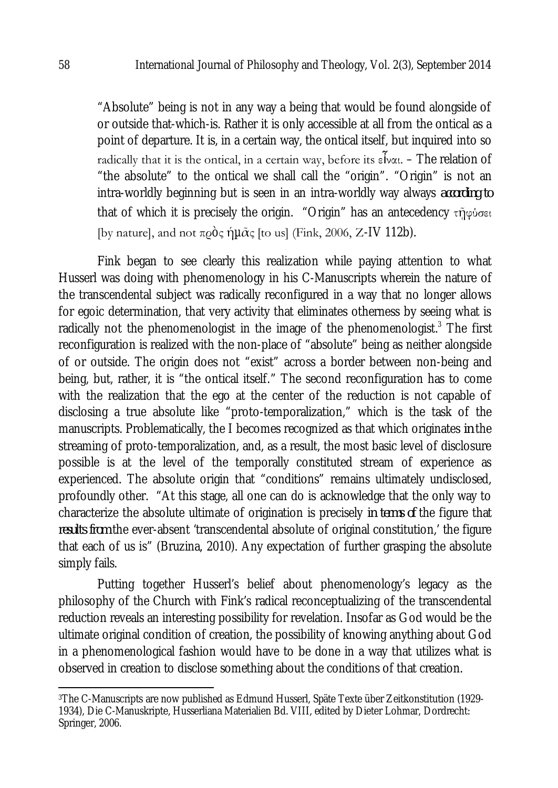"Absolute" being is not in any way a being that would be found alongside of or outside that-which-is. Rather it is only accessible at all from the ontical as a point of departure. It is, in a certain way, the ontical itself, but inquired into so radically that it is the ontical, in a certain way, before its εἶναι. – The relation of "the absolute" to the ontical we shall call the "origin". "Origin" is not an intra-worldly beginning but is seen in an intra-worldly way always *according to*  that of which it is precisely the origin. "Origin" has an antecedency  $\tau\tilde{\eta}\varphi\tilde{\sigma}\varepsilon_1$ [by nature], and not πρòς ἡµᾶς [to us] (Fink, 2006, Z-IV 112b).

Fink began to see clearly this realization while paying attention to what Husserl was doing with phenomenology in his C-Manuscripts wherein the nature of the transcendental subject was radically reconfigured in a way that no longer allows for egoic determination, that very activity that eliminates otherness by seeing what is radically not the phenomenologist in the image of the phenomenologist.<sup>3</sup> The first reconfiguration is realized with the non-place of "absolute" being as neither alongside of or outside. The origin does not "exist" across a border between non-being and being, but, rather, it is "the ontical itself." The second reconfiguration has to come with the realization that the ego at the center of the reduction is not capable of disclosing a true absolute like "proto-temporalization," which is the task of the manuscripts. Problematically, the I becomes recognized as that which originates *in* the streaming of proto-temporalization, and, as a result, the most basic level of disclosure possible is at the level of the temporally constituted stream of experience as experienced. The absolute origin that "conditions" remains ultimately undisclosed, profoundly other. "At this stage, all one can do is acknowledge that the only way to characterize the absolute ultimate of origination is precisely *in terms of* the figure that *results from* the ever-absent 'transcendental absolute of original constitution,' the figure that each of us is" (Bruzina, 2010). Any expectation of further grasping the absolute simply fails.

Putting together Husserl's belief about phenomenology's legacy as the philosophy of the Church with Fink's radical reconceptualizing of the transcendental reduction reveals an interesting possibility for revelation. Insofar as God would be the ultimate original condition of creation, the possibility of knowing anything about God in a phenomenological fashion would have to be done in a way that utilizes what is observed in creation to disclose something about the conditions of that creation.

 $\overline{\phantom{a}}$ <sup>3</sup>The C-Manuscripts are now published as Edmund Husserl, Späte Texte über Zeitkonstitution (1929- 1934), Die C-Manuskripte, Husserliana Materialien Bd. VIII, edited by Dieter Lohmar, Dordrecht: Springer, 2006.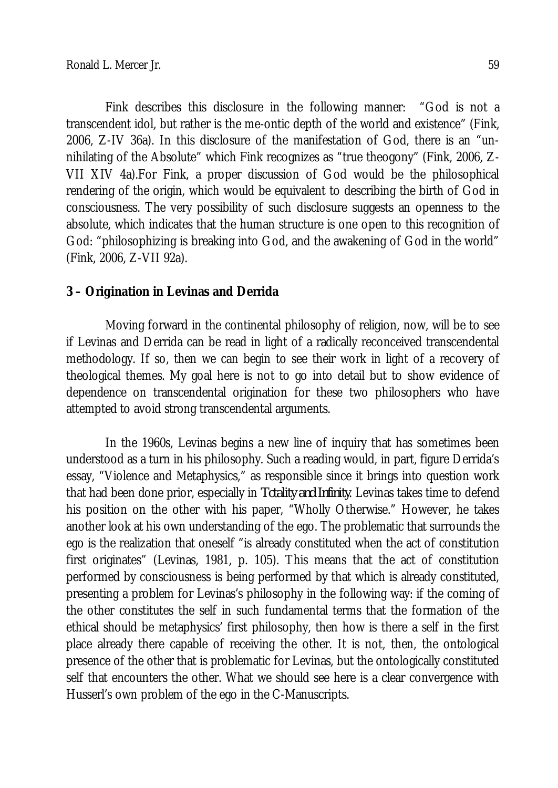Fink describes this disclosure in the following manner: "God is not a transcendent idol, but rather is the me-ontic depth of the world and existence" (Fink, 2006, Z-IV 36a). In this disclosure of the manifestation of God, there is an "unnihilating of the Absolute" which Fink recognizes as "true theogony" (Fink, 2006, Z-VII XIV 4a).For Fink, a proper discussion of God would be the philosophical rendering of the origin, which would be equivalent to describing the birth of God in consciousness. The very possibility of such disclosure suggests an openness to the absolute, which indicates that the human structure is one open to this recognition of God: "philosophizing is breaking into God, and the awakening of God in the world" (Fink, 2006, Z-VII 92a).

### **3 – Origination in Levinas and Derrida**

Moving forward in the continental philosophy of religion, now, will be to see if Levinas and Derrida can be read in light of a radically reconceived transcendental methodology. If so, then we can begin to see their work in light of a recovery of theological themes. My goal here is not to go into detail but to show evidence of dependence on transcendental origination for these two philosophers who have attempted to avoid strong transcendental arguments.

In the 1960s, Levinas begins a new line of inquiry that has sometimes been understood as a turn in his philosophy. Such a reading would, in part, figure Derrida's essay, "Violence and Metaphysics," as responsible since it brings into question work that had been done prior, especially in *Totality and Infinity*. Levinas takes time to defend his position on the other with his paper, "Wholly Otherwise." However, he takes another look at his own understanding of the ego. The problematic that surrounds the ego is the realization that oneself "is already constituted when the act of constitution first originates" (Levinas, 1981, p. 105). This means that the act of constitution performed by consciousness is being performed by that which is already constituted, presenting a problem for Levinas's philosophy in the following way: if the coming of the other constitutes the self in such fundamental terms that the formation of the ethical should be metaphysics' first philosophy, then how is there a self in the first place already there capable of receiving the other. It is not, then, the ontological presence of the other that is problematic for Levinas, but the ontologically constituted self that encounters the other. What we should see here is a clear convergence with Husserl's own problem of the ego in the C-Manuscripts.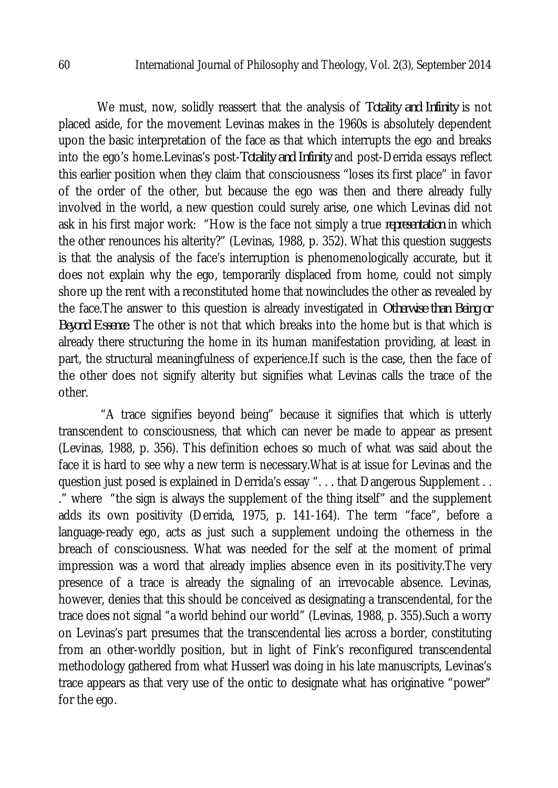We must, now, solidly reassert that the analysis of *Totality and Infinity* is not placed aside, for the movement Levinas makes in the 1960s is absolutely dependent upon the basic interpretation of the face as that which interrupts the ego and breaks into the ego's home.Levinas's post-*Totality and Infinity* and post-Derrida essays reflect this earlier position when they claim that consciousness "loses its first place" in favor of the order of the other, but because the ego was then and there already fully involved in the world, a new question could surely arise, one which Levinas did not ask in his first major work: "How is the face not simply a true *representation* in which the other renounces his alterity?" (Levinas, 1988, p. 352). What this question suggests is that the analysis of the face's interruption is phenomenologically accurate, but it does not explain why the ego, temporarily displaced from home, could not simply shore up the rent with a reconstituted home that nowincludes the other as revealed by the face.The answer to this question is already investigated in *Otherwise than Being or Beyond Essence*: The other is not that which breaks into the home but is that which is already there structuring the home in its human manifestation providing, at least in part, the structural meaningfulness of experience.If such is the case, then the face of the other does not signify alterity but signifies what Levinas calls the trace of the other.

"A trace signifies beyond being" because it signifies that which is utterly transcendent to consciousness, that which can never be made to appear as present (Levinas, 1988, p. 356). This definition echoes so much of what was said about the face it is hard to see why a new term is necessary.What is at issue for Levinas and the question just posed is explained in Derrida's essay ". . . that Dangerous Supplement . . ." where "the sign is always the supplement of the thing itself" and the supplement adds its own positivity (Derrida, 1975, p. 141-164). The term "face", before a language-ready ego, acts as just such a supplement undoing the otherness in the breach of consciousness. What was needed for the self at the moment of primal impression was a word that already implies absence even in its positivity.The very presence of a trace is already the signaling of an irrevocable absence. Levinas, however, denies that this should be conceived as designating a transcendental, for the trace does not signal "a world behind our world" (Levinas, 1988, p. 355).Such a worry on Levinas's part presumes that the transcendental lies across a border, constituting from an other-worldly position, but in light of Fink's reconfigured transcendental methodology gathered from what Husserl was doing in his late manuscripts, Levinas's trace appears as that very use of the ontic to designate what has originative "power" for the ego.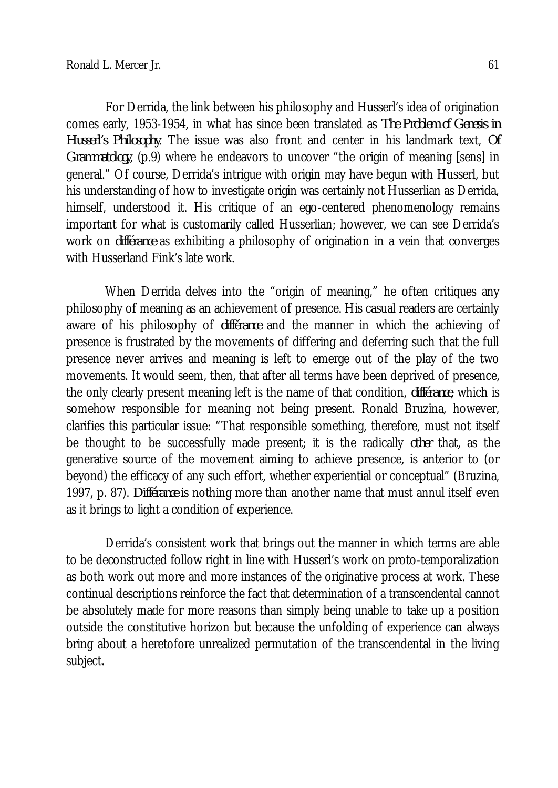For Derrida, the link between his philosophy and Husserl's idea of origination comes early, 1953-1954, in what has since been translated as *The Problem of Genesis in Husserl's Philosophy*. The issue was also front and center in his landmark text, *Of Grammatology*, (p.9) where he endeavors to uncover "the origin of meaning [sens] in general." Of course, Derrida's intrigue with origin may have begun with Husserl, but his understanding of how to investigate origin was certainly not Husserlian as Derrida, himself, understood it. His critique of an ego-centered phenomenology remains important for what is customarily called Husserlian; however, we can see Derrida's work on *différance* as exhibiting a philosophy of origination in a vein that converges with Husserland Fink's late work.

When Derrida delves into the "origin of meaning," he often critiques any philosophy of meaning as an achievement of presence. His casual readers are certainly aware of his philosophy of *différance* and the manner in which the achieving of presence is frustrated by the movements of differing and deferring such that the full presence never arrives and meaning is left to emerge out of the play of the two movements. It would seem, then, that after all terms have been deprived of presence, the only clearly present meaning left is the name of that condition, *différance*, which is somehow responsible for meaning not being present. Ronald Bruzina, however, clarifies this particular issue: "That responsible something, therefore, must not itself be thought to be successfully made present; it is the radically *other* that, as the generative source of the movement aiming to achieve presence, is anterior to (or beyond) the efficacy of any such effort, whether experiential or conceptual" (Bruzina, 1997, p. 87). *Différance* is nothing more than another name that must annul itself even as it brings to light a condition of experience.

Derrida's consistent work that brings out the manner in which terms are able to be deconstructed follow right in line with Husserl's work on proto-temporalization as both work out more and more instances of the originative process at work. These continual descriptions reinforce the fact that determination of a transcendental cannot be absolutely made for more reasons than simply being unable to take up a position outside the constitutive horizon but because the unfolding of experience can always bring about a heretofore unrealized permutation of the transcendental in the living subject.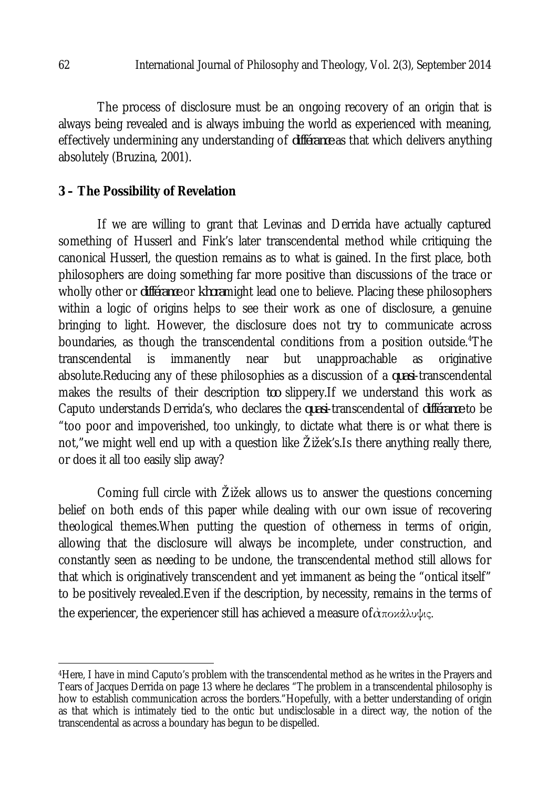The process of disclosure must be an ongoing recovery of an origin that is always being revealed and is always imbuing the world as experienced with meaning, effectively undermining any understanding of *différance* as that which delivers anything absolutely (Bruzina, 2001).

## **3 – The Possibility of Revelation**

If we are willing to grant that Levinas and Derrida have actually captured something of Husserl and Fink's later transcendental method while critiquing the canonical Husserl, the question remains as to what is gained. In the first place, both philosophers are doing something far more positive than discussions of the trace or wholly other or *différance* or *khora*might lead one to believe. Placing these philosophers within a logic of origins helps to see their work as one of disclosure, a genuine bringing to light. However, the disclosure does not try to communicate across boundaries, as though the transcendental conditions from a position outside.<sup>4</sup>The transcendental is immanently near but unapproachable as originative absolute.Reducing any of these philosophies as a discussion of a *quasi*-transcendental makes the results of their description *too* slippery.If we understand this work as Caputo understands Derrida's, who declares the *quasi*-transcendental of *différance* to be "too poor and impoverished, too unkingly, to dictate what there is or what there is not,"we might well end up with a question like Žižek's.Is there anything really there, or does it all too easily slip away?

Coming full circle with Žižek allows us to answer the questions concerning belief on both ends of this paper while dealing with our own issue of recovering theological themes.When putting the question of otherness in terms of origin, allowing that the disclosure will always be incomplete, under construction, and constantly seen as needing to be undone, the transcendental method still allows for that which is originatively transcendent and yet immanent as being the "ontical itself" to be positively revealed.Even if the description, by necessity, remains in the terms of the experiencer, the experiencer still has achieved a measure of  $\alpha$ ποκάλυψις.

 $\overline{a}$ <sup>4</sup>Here, I have in mind Caputo's problem with the transcendental method as he writes in the Prayers and Tears of Jacques Derrida on page 13 where he declares "The problem in a transcendental philosophy is how to establish communication across the borders."Hopefully, with a better understanding of origin as that which is intimately tied to the ontic but undisclosable in a direct way, the notion of the transcendental as across a boundary has begun to be dispelled.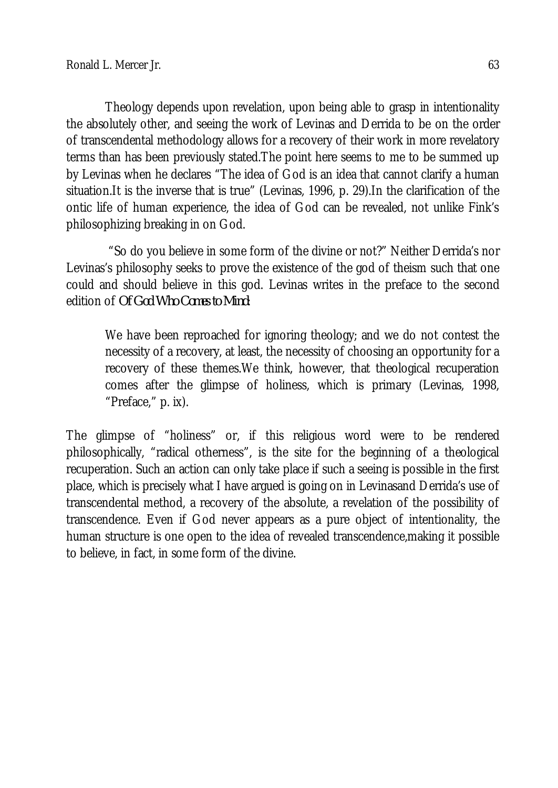Theology depends upon revelation, upon being able to grasp in intentionality the absolutely other, and seeing the work of Levinas and Derrida to be on the order of transcendental methodology allows for a recovery of their work in more revelatory terms than has been previously stated.The point here seems to me to be summed up by Levinas when he declares "The idea of God is an idea that cannot clarify a human situation.It is the inverse that is true" (Levinas, 1996, p. 29).In the clarification of the ontic life of human experience, the idea of God can be revealed, not unlike Fink's philosophizing breaking in on God.

"So do you believe in some form of the divine or not?" Neither Derrida's nor Levinas's philosophy seeks to prove the existence of the god of theism such that one could and should believe in this god. Levinas writes in the preface to the second edition of *Of God Who Comes to Mind*:

We have been reproached for ignoring theology; and we do not contest the necessity of a recovery, at least, the necessity of choosing an opportunity for a recovery of these themes.We think, however, that theological recuperation comes after the glimpse of holiness, which is primary (Levinas, 1998, "Preface," p. ix).

The glimpse of "holiness" or, if this religious word were to be rendered philosophically, "radical otherness", is the site for the beginning of a theological recuperation. Such an action can only take place if such a seeing is possible in the first place, which is precisely what I have argued is going on in Levinasand Derrida's use of transcendental method, a recovery of the absolute, a revelation of the possibility of transcendence. Even if God never appears as a pure object of intentionality, the human structure is one open to the idea of revealed transcendence,making it possible to believe, in fact, in some form of the divine.